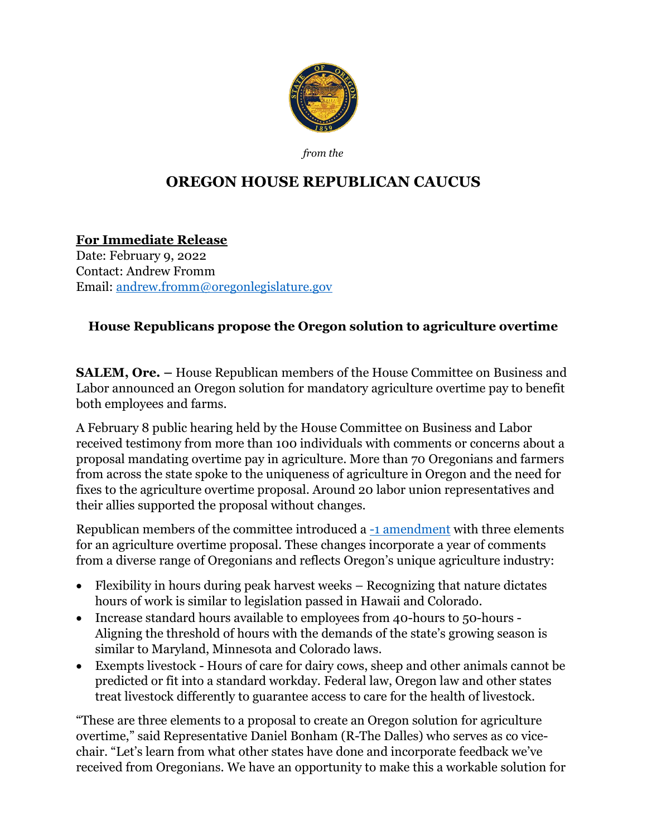

*from the*

## **OREGON HOUSE REPUBLICAN CAUCUS**

**For Immediate Release** Date: February 9, 2022 Contact: Andrew Fromm Email: [andrew.fromm@oregonlegislature.gov](mailto:andrew.fromm@oregonlegislature.gov)

## **House Republicans propose the Oregon solution to agriculture overtime**

**SALEM, Ore. –** House Republican members of the House Committee on Business and Labor announced an Oregon solution for mandatory agriculture overtime pay to benefit both employees and farms.

A February 8 public hearing held by the House Committee on Business and Labor received testimony from more than 100 individuals with comments or concerns about a proposal mandating overtime pay in agriculture. More than 70 Oregonians and farmers from across the state spoke to the uniqueness of agriculture in Oregon and the need for fixes to the agriculture overtime proposal. Around 20 labor union representatives and their allies supported the proposal without changes.

Republican members of the committee introduced a [-1 amendment](https://olis.oregonlegislature.gov/liz/2022R1/Downloads/ProposedAmendment/21935) with three elements for an agriculture overtime proposal. These changes incorporate a year of comments from a diverse range of Oregonians and reflects Oregon's unique agriculture industry:

- Flexibility in hours during peak harvest weeks Recognizing that nature dictates hours of work is similar to legislation passed in Hawaii and Colorado.
- Increase standard hours available to employees from 40-hours to 50-hours -Aligning the threshold of hours with the demands of the state's growing season is similar to Maryland, Minnesota and Colorado laws.
- Exempts livestock Hours of care for dairy cows, sheep and other animals cannot be predicted or fit into a standard workday. Federal law, Oregon law and other states treat livestock differently to guarantee access to care for the health of livestock.

"These are three elements to a proposal to create an Oregon solution for agriculture overtime," said Representative Daniel Bonham (R-The Dalles) who serves as co vicechair. "Let's learn from what other states have done and incorporate feedback we've received from Oregonians. We have an opportunity to make this a workable solution for